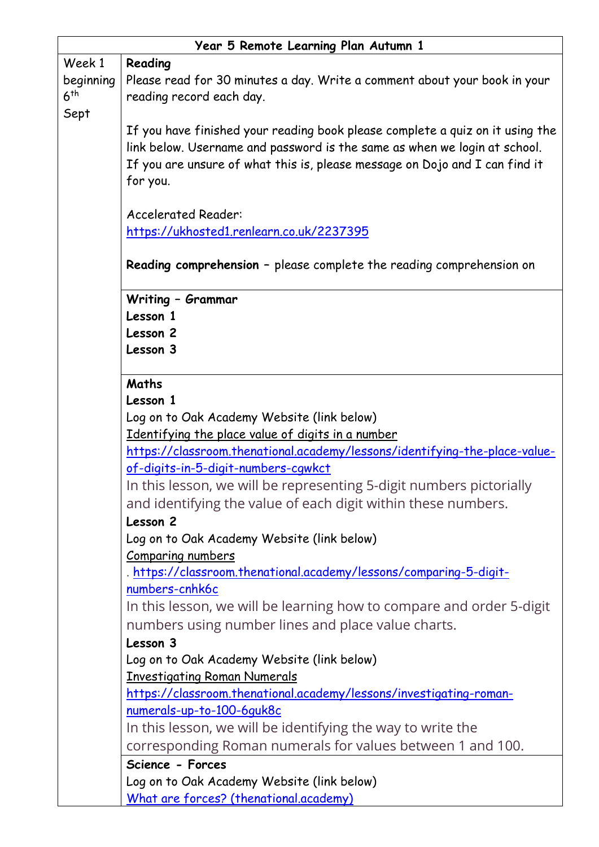| Year 5 Remote Learning Plan Autumn 1 |                                                                               |
|--------------------------------------|-------------------------------------------------------------------------------|
| Week 1                               | Reading                                                                       |
| beginning                            | Please read for 30 minutes a day. Write a comment about your book in your     |
| 6 <sup>th</sup>                      | reading record each day.                                                      |
| Sept                                 |                                                                               |
|                                      | If you have finished your reading book please complete a quiz on it using the |
|                                      | link below. Username and password is the same as when we login at school.     |
|                                      | If you are unsure of what this is, please message on Dojo and I can find it   |
|                                      | for you.                                                                      |
|                                      |                                                                               |
|                                      | <b>Accelerated Reader:</b>                                                    |
|                                      | https://ukhosted1.renlearn.co.uk/2237395                                      |
|                                      | Reading comprehension - please complete the reading comprehension on          |
|                                      | Writing - Grammar                                                             |
|                                      | Lesson 1                                                                      |
|                                      | Lesson 2                                                                      |
|                                      | Lesson 3                                                                      |
|                                      |                                                                               |
|                                      | Maths                                                                         |
|                                      | Lesson 1                                                                      |
|                                      | Log on to Oak Academy Website (link below)                                    |
|                                      | Identifying the place value of digits in a number                             |
|                                      | https://classroom.thenational.academy/lessons/identifying-the-place-value-    |
|                                      | of-digits-in-5-digit-numbers-cqwkct                                           |
|                                      | In this lesson, we will be representing 5-digit numbers pictorially           |
|                                      | and identifying the value of each digit within these numbers.                 |
|                                      | Lesson 2                                                                      |
|                                      | Log on to Oak Academy Website (link below)                                    |
|                                      | Comparing numbers                                                             |
|                                      | . https://classroom.thenational.academy/lessons/comparing-5-digit-            |
|                                      | numbers-cnhk6c                                                                |
|                                      | In this lesson, we will be learning how to compare and order 5-digit          |
|                                      | numbers using number lines and place value charts.                            |
|                                      | Lesson 3                                                                      |
|                                      | Log on to Oak Academy Website (link below)                                    |
|                                      | <b>Investigating Roman Numerals</b>                                           |
|                                      | https://classroom.thenational.academy/lessons/investigating-roman-            |
|                                      | numerals-up-to-100-6guk8c                                                     |
|                                      | In this lesson, we will be identifying the way to write the                   |
|                                      | corresponding Roman numerals for values between 1 and 100.                    |
|                                      | Science - Forces                                                              |
|                                      | Log on to Oak Academy Website (link below)                                    |
|                                      | What are forces? (thenational.academy)                                        |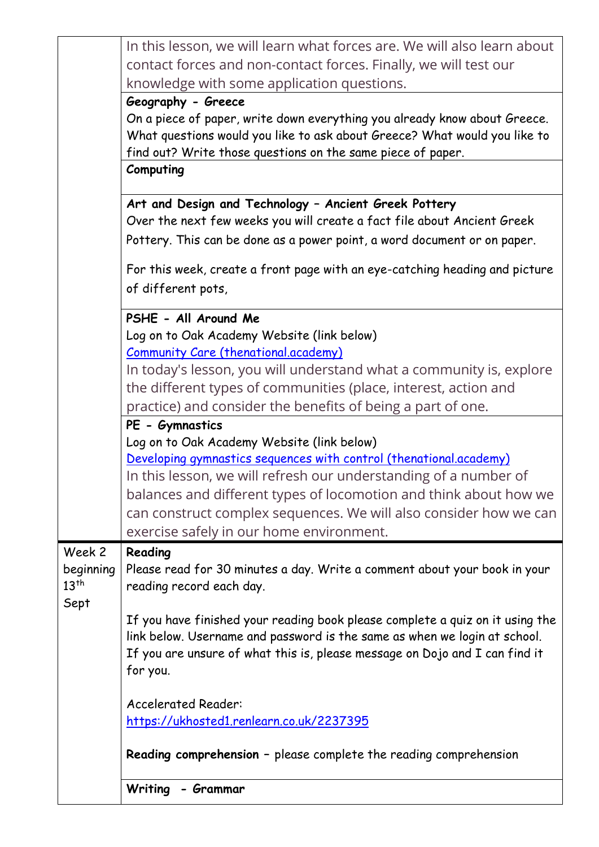|                        | In this lesson, we will learn what forces are. We will also learn about                                                                                                      |
|------------------------|------------------------------------------------------------------------------------------------------------------------------------------------------------------------------|
|                        | contact forces and non-contact forces. Finally, we will test our                                                                                                             |
|                        | knowledge with some application questions.                                                                                                                                   |
|                        | Geography - Greece<br>On a piece of paper, write down everything you already know about Greece.<br>What questions would you like to ask about Greece? What would you like to |
|                        | find out? Write those questions on the same piece of paper.                                                                                                                  |
|                        | Computing                                                                                                                                                                    |
|                        | Art and Design and Technology - Ancient Greek Pottery<br>Over the next few weeks you will create a fact file about Ancient Greek                                             |
|                        | Pottery. This can be done as a power point, a word document or on paper.                                                                                                     |
|                        | For this week, create a front page with an eye-catching heading and picture                                                                                                  |
|                        | of different pots,                                                                                                                                                           |
|                        | PSHE - All Around Me                                                                                                                                                         |
|                        | Log on to Oak Academy Website (link below)<br><b>Community Care (thenational.academy)</b>                                                                                    |
|                        | In today's lesson, you will understand what a community is, explore                                                                                                          |
|                        | the different types of communities (place, interest, action and                                                                                                              |
|                        | practice) and consider the benefits of being a part of one.                                                                                                                  |
|                        | PE - Gymnastics                                                                                                                                                              |
|                        | Log on to Oak Academy Website (link below)<br>Developing gymnastics sequences with control (thenational.academy)                                                             |
|                        | In this lesson, we will refresh our understanding of a number of                                                                                                             |
|                        | balances and different types of locomotion and think about how we                                                                                                            |
|                        | can construct complex sequences. We will also consider how we can                                                                                                            |
|                        | exercise safely in our home environment.                                                                                                                                     |
| Week 2                 | Reading                                                                                                                                                                      |
| beginning<br>$13^{th}$ | Please read for 30 minutes a day. Write a comment about your book in your<br>reading record each day.                                                                        |
| Sept                   |                                                                                                                                                                              |
|                        | If you have finished your reading book please complete a quiz on it using the<br>link below. Username and password is the same as when we login at school.                   |
|                        | If you are unsure of what this is, please message on Dojo and I can find it                                                                                                  |
|                        | for you.                                                                                                                                                                     |
|                        | <b>Accelerated Reader:</b>                                                                                                                                                   |
|                        | https://ukhosted1.renlearn.co.uk/2237395                                                                                                                                     |
|                        | Reading comprehension - please complete the reading comprehension                                                                                                            |
|                        | Writing<br>- Grammar                                                                                                                                                         |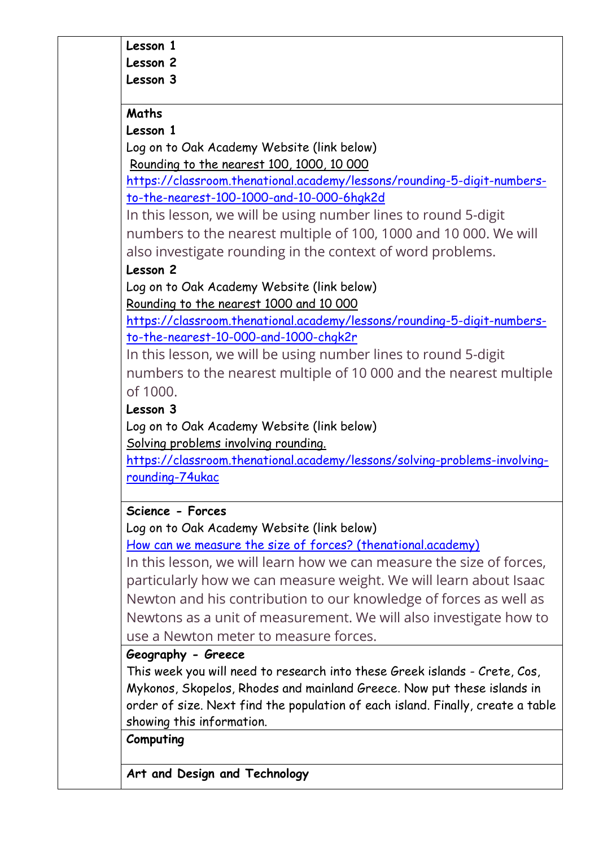#### **Lesson 1**

**Lesson 2**

#### **Lesson 3**

### **Maths**

### **Lesson 1**

Log on to Oak Academy Website (link below) Rounding to the nearest 100, 1000, 10 000

[https://classroom.thenational.academy/lessons/rounding-5-digit-numbers](https://classroom.thenational.academy/lessons/rounding-5-digit-numbers-to-the-nearest-100-1000-and-10-000-6hgk2d)[to-the-nearest-100-1000-and-10-000-6hgk2d](https://classroom.thenational.academy/lessons/rounding-5-digit-numbers-to-the-nearest-100-1000-and-10-000-6hgk2d)

In this lesson, we will be using number lines to round 5-digit numbers to the nearest multiple of 100, 1000 and 10 000. We will also investigate rounding in the context of word problems.

# **Lesson 2**

Log on to Oak Academy Website (link below) Rounding to the nearest 1000 and 10 000

[https://classroom.thenational.academy/lessons/rounding-5-digit-numbers](https://classroom.thenational.academy/lessons/rounding-5-digit-numbers-to-the-nearest-10-000-and-1000-chgk2r)[to-the-nearest-10-000-and-1000-chgk2r](https://classroom.thenational.academy/lessons/rounding-5-digit-numbers-to-the-nearest-10-000-and-1000-chgk2r)

In this lesson, we will be using number lines to round 5-digit numbers to the nearest multiple of 10 000 and the nearest multiple of 1000.

### **Lesson 3**

Log on to Oak Academy Website (link below) Solving problems involving rounding.

[https://classroom.thenational.academy/lessons/solving-problems-involving](https://classroom.thenational.academy/lessons/solving-problems-involving-rounding-74ukac)[rounding-74ukac](https://classroom.thenational.academy/lessons/solving-problems-involving-rounding-74ukac)

# **Science - Forces**

Log on to Oak Academy Website (link below)

[How can we measure the size of forces? \(thenational.academy\)](https://classroom.thenational.academy/lessons/how-can-we-measure-the-size-of-forces-c4vkcr)

In this lesson, we will learn how we can measure the size of forces, particularly how we can measure weight. We will learn about Isaac Newton and his contribution to our knowledge of forces as well as Newtons as a unit of measurement. We will also investigate how to use a Newton meter to measure forces.

**Geography - Greece**

This week you will need to research into these Greek islands - Crete, Cos, Mykonos, Skopelos, Rhodes and mainland Greece. Now put these islands in order of size. Next find the population of each island. Finally, create a table showing this information.

**Computing**

**Art and Design and Technology**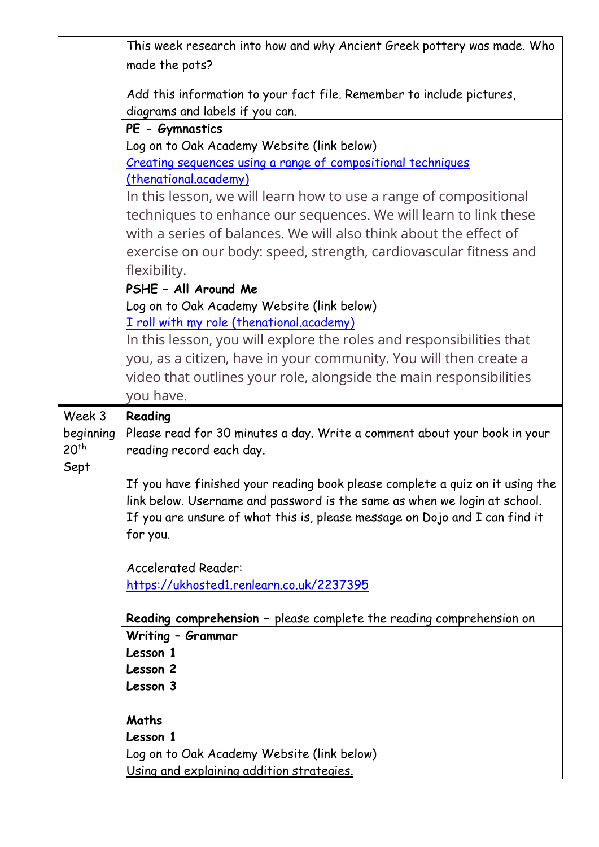|                  | This week research into how and why Ancient Greek pottery was made. Who               |
|------------------|---------------------------------------------------------------------------------------|
|                  | made the pots?                                                                        |
|                  |                                                                                       |
|                  | Add this information to your fact file. Remember to include pictures,                 |
|                  | diagrams and labels if you can.                                                       |
|                  | PE - Gymnastics                                                                       |
|                  | Log on to Oak Academy Website (link below)                                            |
|                  | Creating sequences using a range of compositional techniques<br>(thenational.academy) |
|                  | In this lesson, we will learn how to use a range of compositional                     |
|                  | techniques to enhance our sequences. We will learn to link these                      |
|                  | with a series of balances. We will also think about the effect of                     |
|                  |                                                                                       |
|                  | exercise on our body: speed, strength, cardiovascular fitness and                     |
|                  | flexibility.                                                                          |
|                  | PSHE - All Around Me                                                                  |
|                  | Log on to Oak Academy Website (link below)                                            |
|                  | I roll with my role (thenational.academy)                                             |
|                  | In this lesson, you will explore the roles and responsibilities that                  |
|                  | you, as a citizen, have in your community. You will then create a                     |
|                  | video that outlines your role, alongside the main responsibilities                    |
|                  | you have.                                                                             |
|                  |                                                                                       |
| Week 3           | Reading                                                                               |
| beginning        | Please read for 30 minutes a day. Write a comment about your book in your             |
| 20 <sup>th</sup> | reading record each day.                                                              |
| Sept             |                                                                                       |
|                  | If you have finished your reading book please complete a quiz on it using the         |
|                  | link below. Username and password is the same as when we login at school.             |
|                  | If you are unsure of what this is, please message on Dojo and I can find it           |
|                  | for you.                                                                              |
|                  | <b>Accelerated Reader:</b>                                                            |
|                  | https://ukhosted1.renlearn.co.uk/2237395                                              |
|                  |                                                                                       |
|                  | Reading comprehension - please complete the reading comprehension on                  |
|                  | Writing - Grammar                                                                     |
|                  | Lesson 1                                                                              |
|                  | Lesson 2                                                                              |
|                  | Lesson 3                                                                              |
|                  |                                                                                       |
|                  | Maths                                                                                 |
|                  | Lesson 1<br>Log on to Oak Academy Website (link below)                                |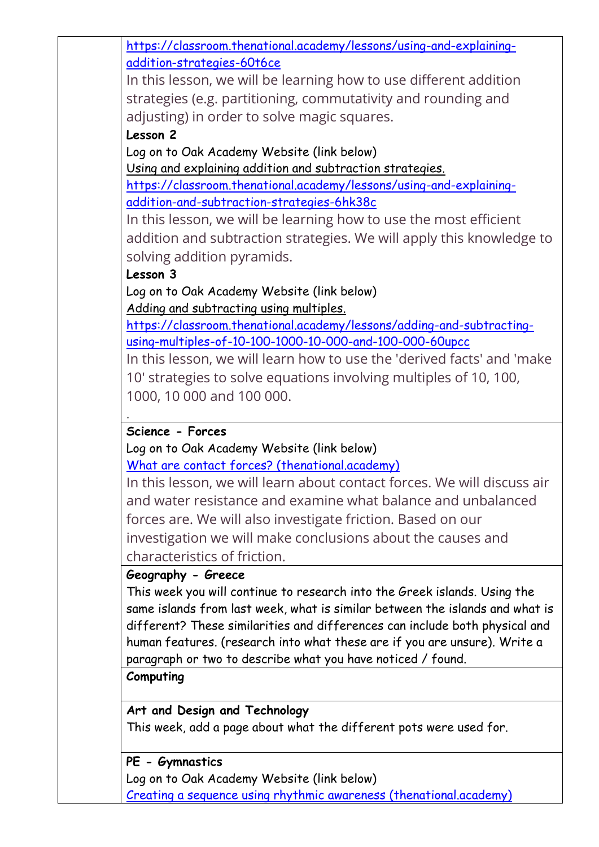[https://classroom.thenational.academy/lessons/using-and-explaining](https://classroom.thenational.academy/lessons/using-and-explaining-addition-strategies-60t6ce)[addition-strategies-60t6ce](https://classroom.thenational.academy/lessons/using-and-explaining-addition-strategies-60t6ce)

In this lesson, we will be learning how to use different addition strategies (e.g. partitioning, commutativity and rounding and adjusting) in order to solve magic squares.

### **Lesson 2**

Log on to Oak Academy Website (link below)

Using and explaining addition and subtraction strategies.

[https://classroom.thenational.academy/lessons/using-and-explaining](https://classroom.thenational.academy/lessons/using-and-explaining-addition-and-subtraction-strategies-6hk38c)[addition-and-subtraction-strategies-6hk38c](https://classroom.thenational.academy/lessons/using-and-explaining-addition-and-subtraction-strategies-6hk38c)

In this lesson, we will be learning how to use the most efficient addition and subtraction strategies. We will apply this knowledge to solving addition pyramids.

### **Lesson 3**

.

Log on to Oak Academy Website (link below) Adding and subtracting using multiples.

[https://classroom.thenational.academy/lessons/adding-and-subtracting](https://classroom.thenational.academy/lessons/adding-and-subtracting-using-multiples-of-10-100-1000-10-000-and-100-000-60upcc)[using-multiples-of-10-100-1000-10-000-and-100-000-60upcc](https://classroom.thenational.academy/lessons/adding-and-subtracting-using-multiples-of-10-100-1000-10-000-and-100-000-60upcc)

In this lesson, we will learn how to use the 'derived facts' and 'make 10' strategies to solve equations involving multiples of 10, 100, 1000, 10 000 and 100 000.

### **Science - Forces**

Log on to Oak Academy Website (link below)

[What are contact forces? \(thenational.academy\)](https://classroom.thenational.academy/lessons/what-are-contact-forces-74t3gc)

In this lesson, we will learn about contact forces. We will discuss air and water resistance and examine what balance and unbalanced forces are. We will also investigate friction. Based on our investigation we will make conclusions about the causes and characteristics of friction.

#### **Geography - Greece**

This week you will continue to research into the Greek islands. Using the same islands from last week, what is similar between the islands and what is different? These similarities and differences can include both physical and human features. (research into what these are if you are unsure). Write a paragraph or two to describe what you have noticed / found.

#### **Computing**

**Art and Design and Technology** This week, add a page about what the different pots were used for.

#### **PE - Gymnastics**

Log on to Oak Academy Website (link below) [Creating a sequence using rhythmic awareness \(thenational.academy\)](https://classroom.thenational.academy/lessons/creating-a-sequence-using-rhythmic-awareness-71gpcc)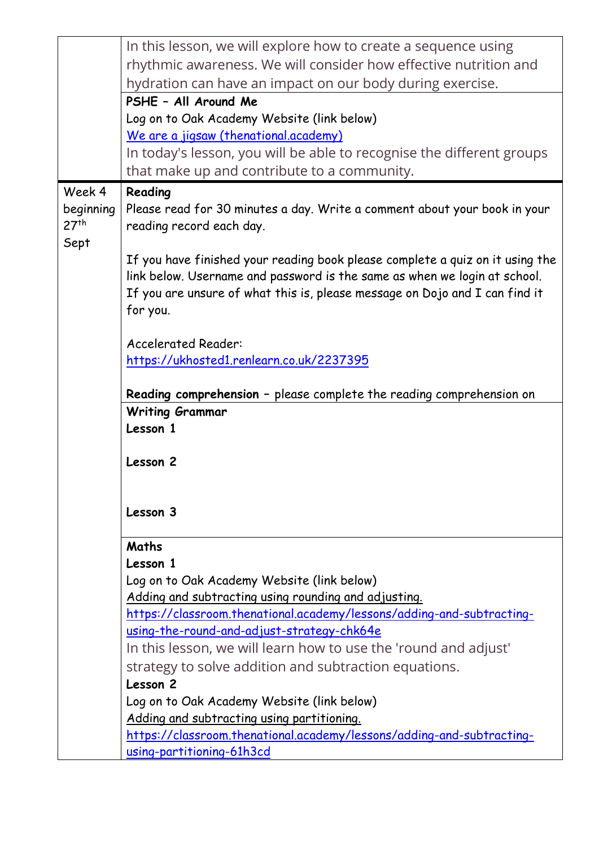|                  | In this lesson, we will explore how to create a sequence using                                                                |
|------------------|-------------------------------------------------------------------------------------------------------------------------------|
|                  | rhythmic awareness. We will consider how effective nutrition and                                                              |
|                  | hydration can have an impact on our body during exercise.                                                                     |
|                  | PSHE - All Around Me                                                                                                          |
|                  | Log on to Oak Academy Website (link below)                                                                                    |
|                  | We are a jigsaw (thenational.academy)                                                                                         |
|                  | In today's lesson, you will be able to recognise the different groups                                                         |
|                  | that make up and contribute to a community.                                                                                   |
| Week 4           | Reading                                                                                                                       |
| beginning        | Please read for 30 minutes a day. Write a comment about your book in your                                                     |
| 27 <sup>th</sup> | reading record each day.                                                                                                      |
| Sept             |                                                                                                                               |
|                  | If you have finished your reading book please complete a quiz on it using the                                                 |
|                  | link below. Username and password is the same as when we login at school.                                                     |
|                  | If you are unsure of what this is, please message on Dojo and I can find it                                                   |
|                  | for you.                                                                                                                      |
|                  |                                                                                                                               |
|                  | <b>Accelerated Reader:</b>                                                                                                    |
|                  | https://ukhosted1.renlearn.co.uk/2237395                                                                                      |
|                  | Reading comprehension - please complete the reading comprehension on                                                          |
|                  | <b>Writing Grammar</b>                                                                                                        |
|                  | Lesson 1                                                                                                                      |
|                  |                                                                                                                               |
|                  | Lesson 2                                                                                                                      |
|                  |                                                                                                                               |
|                  |                                                                                                                               |
|                  | Lesson 3                                                                                                                      |
|                  |                                                                                                                               |
|                  | Maths                                                                                                                         |
|                  | Lesson 1                                                                                                                      |
|                  | Log on to Oak Academy Website (link below)                                                                                    |
|                  | Adding and subtracting using rounding and adjusting.<br>https://classroom.thenational.academy/lessons/adding-and-subtracting- |
|                  | using-the-round-and-adjust-strategy-chk64e                                                                                    |
|                  | In this lesson, we will learn how to use the 'round and adjust'                                                               |
|                  | strategy to solve addition and subtraction equations.                                                                         |
|                  | Lesson 2                                                                                                                      |
|                  | Log on to Oak Academy Website (link below)                                                                                    |
|                  | Adding and subtracting using partitioning.                                                                                    |
|                  | https://classroom.thenational.academy/lessons/adding-and-subtracting-                                                         |
|                  | using-partitioning-61h3cd                                                                                                     |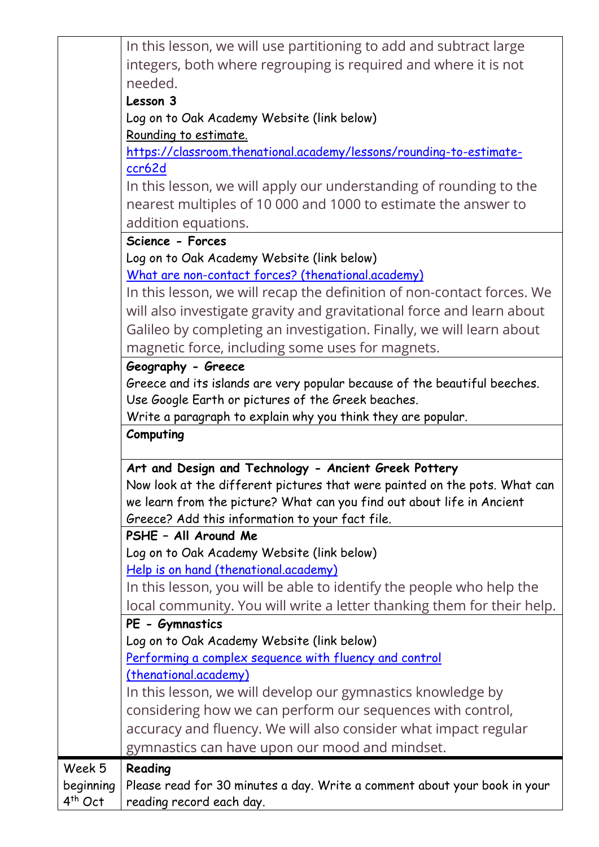|                     | In this lesson, we will use partitioning to add and subtract large         |
|---------------------|----------------------------------------------------------------------------|
|                     | integers, both where regrouping is required and where it is not            |
|                     | needed.                                                                    |
|                     | Lesson 3                                                                   |
|                     | Log on to Oak Academy Website (link below)                                 |
|                     | Rounding to estimate.                                                      |
|                     | https://classroom.thenational.academy/lessons/rounding-to-estimate-        |
|                     | ccr62d                                                                     |
|                     | In this lesson, we will apply our understanding of rounding to the         |
|                     | nearest multiples of 10 000 and 1000 to estimate the answer to             |
|                     | addition equations.                                                        |
|                     | Science - Forces                                                           |
|                     | Log on to Oak Academy Website (link below)                                 |
|                     | What are non-contact forces? (thenational.academy)                         |
|                     | In this lesson, we will recap the definition of non-contact forces. We     |
|                     | will also investigate gravity and gravitational force and learn about      |
|                     | Galileo by completing an investigation. Finally, we will learn about       |
|                     | magnetic force, including some uses for magnets.                           |
|                     | Geography - Greece                                                         |
|                     | Greece and its islands are very popular because of the beautiful beeches.  |
|                     | Use Google Earth or pictures of the Greek beaches.                         |
|                     | Write a paragraph to explain why you think they are popular.               |
|                     | Computing                                                                  |
|                     | Art and Design and Technology - Ancient Greek Pottery                      |
|                     | Now look at the different pictures that were painted on the pots. What can |
|                     | we learn from the picture? What can you find out about life in Ancient     |
|                     | Greece? Add this information to your fact file.                            |
|                     | PSHE - All Around Me                                                       |
|                     | Log on to Oak Academy Website (link below)                                 |
|                     | Help is on hand (thenational.academy)                                      |
|                     | In this lesson, you will be able to identify the people who help the       |
|                     | local community. You will write a letter thanking them for their help.     |
|                     | PE - Gymnastics                                                            |
|                     | Log on to Oak Academy Website (link below)                                 |
|                     | Performing a complex sequence with fluency and control                     |
|                     | (thenational.academy)                                                      |
|                     | In this lesson, we will develop our gymnastics knowledge by                |
|                     | considering how we can perform our sequences with control,                 |
|                     | accuracy and fluency. We will also consider what impact regular            |
|                     | gymnastics can have upon our mood and mindset.                             |
| Week 5              | Reading                                                                    |
| beginning           | Please read for 30 minutes a day. Write a comment about your book in your  |
| 4 <sup>th</sup> Oct |                                                                            |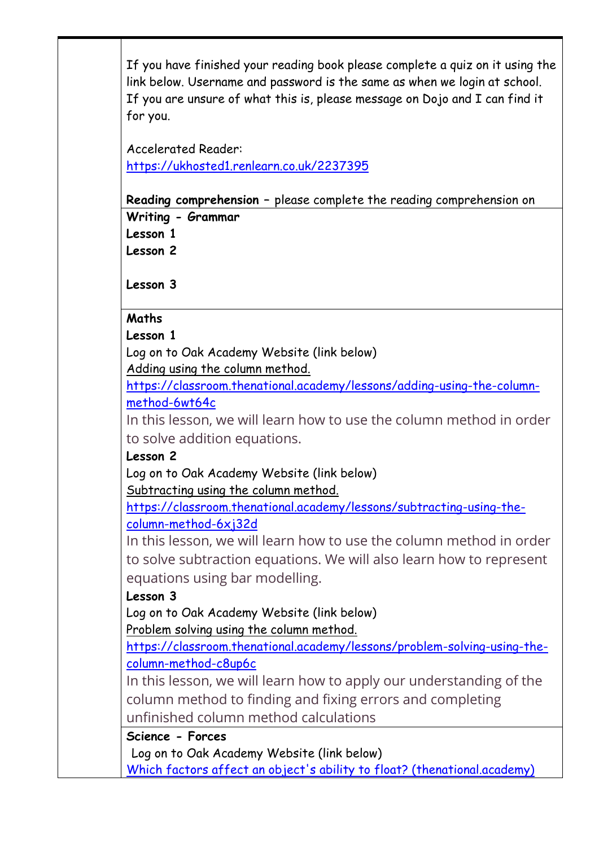If you have finished your reading book please complete a quiz on it using the link below. Username and password is the same as when we login at school. If you are unsure of what this is, please message on Dojo and I can find it for you.

Accelerated Reader: <https://ukhosted1.renlearn.co.uk/2237395>

**Reading comprehension –** please complete the reading comprehension on **Writing - Grammar** 

**Lesson 1**

**Lesson 2**

**Lesson 3**

#### **Maths**

#### **Lesson 1**

Log on to Oak Academy Website (link below)

Adding using the column method.

[https://classroom.thenational.academy/lessons/adding-using-the-column](https://classroom.thenational.academy/lessons/adding-using-the-column-method-6wt64c)[method-6wt64c](https://classroom.thenational.academy/lessons/adding-using-the-column-method-6wt64c)

In this lesson, we will learn how to use the column method in order to solve addition equations.

#### **Lesson 2**

Log on to Oak Academy Website (link below) Subtracting using the column method.

[https://classroom.thenational.academy/lessons/subtracting-using-the](https://classroom.thenational.academy/lessons/subtracting-using-the-column-method-6xj32d)[column-method-6xj32d](https://classroom.thenational.academy/lessons/subtracting-using-the-column-method-6xj32d)

In this lesson, we will learn how to use the column method in order to solve subtraction equations. We will also learn how to represent equations using bar modelling.

# **Lesson 3**

Log on to Oak Academy Website (link below)

Problem solving using the column method.

[https://classroom.thenational.academy/lessons/problem-solving-using-the](https://classroom.thenational.academy/lessons/problem-solving-using-the-column-method-c8up6c)[column-method-c8up6c](https://classroom.thenational.academy/lessons/problem-solving-using-the-column-method-c8up6c)

In this lesson, we will learn how to apply our understanding of the column method to finding and fixing errors and completing unfinished column method calculations

**Science - Forces**

Log on to Oak Academy Website (link below)

[Which factors affect an object's ability to float? \(thenational.academy\)](https://classroom.thenational.academy/lessons/which-factors-affect-an-objects-ability-to-float-ccv3ac)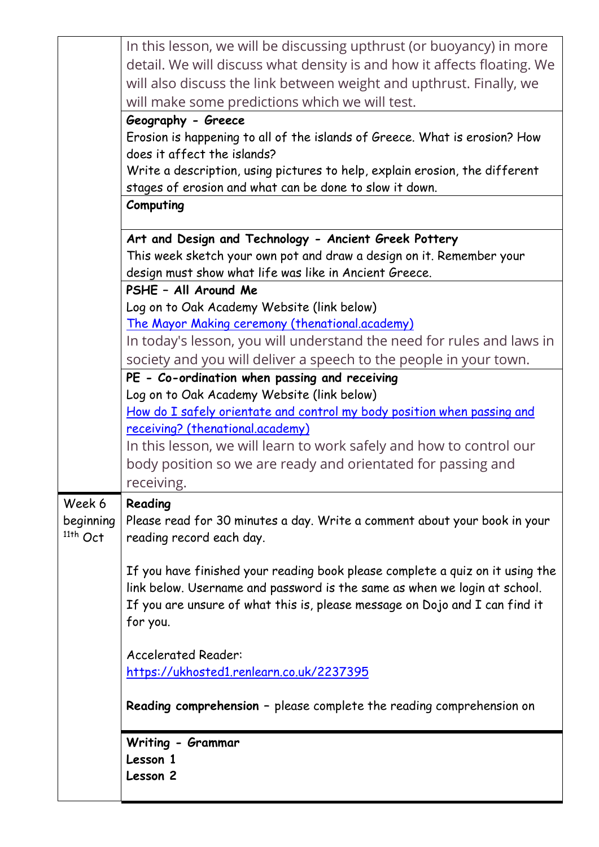|            | In this lesson, we will be discussing upthrust (or buoyancy) in more          |
|------------|-------------------------------------------------------------------------------|
|            | detail. We will discuss what density is and how it affects floating. We       |
|            | will also discuss the link between weight and upthrust. Finally, we           |
|            | will make some predictions which we will test.                                |
|            | Geography - Greece                                                            |
|            | Erosion is happening to all of the islands of Greece. What is erosion? How    |
|            | does it affect the islands?                                                   |
|            | Write a description, using pictures to help, explain erosion, the different   |
|            | stages of erosion and what can be done to slow it down.                       |
|            | Computing                                                                     |
|            | Art and Design and Technology - Ancient Greek Pottery                         |
|            | This week sketch your own pot and draw a design on it. Remember your          |
|            | design must show what life was like in Ancient Greece.                        |
|            | PSHE - All Around Me                                                          |
|            | Log on to Oak Academy Website (link below)                                    |
|            | The Mayor Making ceremony (thenational.academy)                               |
|            | In today's lesson, you will understand the need for rules and laws in         |
|            | society and you will deliver a speech to the people in your town.             |
|            | PE - Co-ordination when passing and receiving                                 |
|            | Log on to Oak Academy Website (link below)                                    |
|            | How do I safely orientate and control my body position when passing and       |
|            | receiving? (thenational.academy)                                              |
|            | In this lesson, we will learn to work safely and how to control our           |
|            | body position so we are ready and orientated for passing and                  |
|            | receiving.                                                                    |
| Week 6     | Reading                                                                       |
| beginning  | Please read for 30 minutes a day. Write a comment about your book in your     |
| $11th$ Oct | reading record each day.                                                      |
|            |                                                                               |
|            | If you have finished your reading book please complete a quiz on it using the |
|            | link below. Username and password is the same as when we login at school.     |
|            | If you are unsure of what this is, please message on Dojo and I can find it   |
|            | for you.                                                                      |
|            |                                                                               |
|            | <b>Accelerated Reader:</b>                                                    |
|            | https://ukhosted1.renlearn.co.uk/2237395                                      |
|            |                                                                               |
|            | <b>Reading comprehension</b> - please complete the reading comprehension on   |
|            | Writing - Grammar                                                             |
|            | Lesson 1                                                                      |
|            | Lesson 2                                                                      |
|            |                                                                               |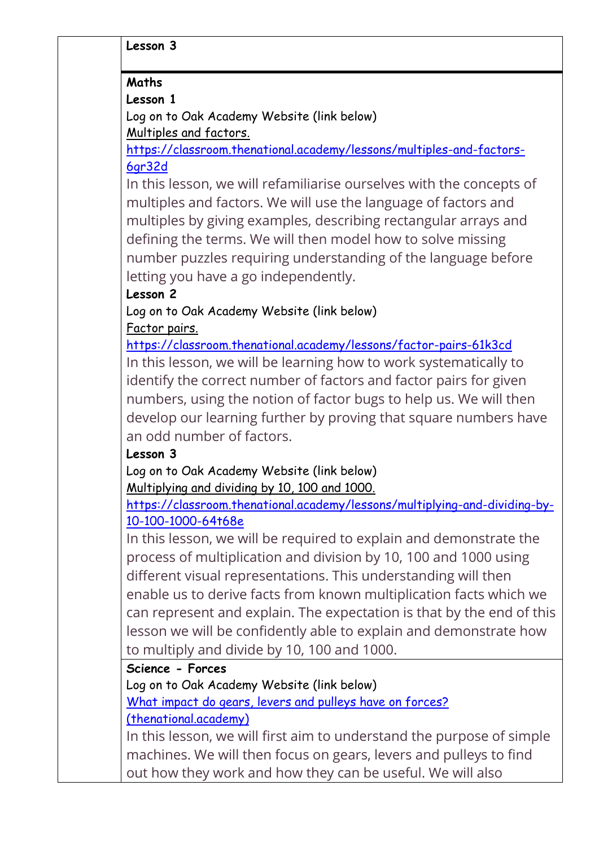### **Maths**

# **Lesson 1**

Log on to Oak Academy Website (link below) Multiples and factors.

[https://classroom.thenational.academy/lessons/multiples-and-factors-](https://classroom.thenational.academy/lessons/multiples-and-factors-6gr32d)[6gr32d](https://classroom.thenational.academy/lessons/multiples-and-factors-6gr32d)

In this lesson, we will refamiliarise ourselves with the concepts of multiples and factors. We will use the language of factors and multiples by giving examples, describing rectangular arrays and defining the terms. We will then model how to solve missing number puzzles requiring understanding of the language before letting you have a go independently.

# **Lesson 2**

Log on to Oak Academy Website (link below) Factor pairs.

<https://classroom.thenational.academy/lessons/factor-pairs-61k3cd> In this lesson, we will be learning how to work systematically to identify the correct number of factors and factor pairs for given numbers, using the notion of factor bugs to help us. We will then develop our learning further by proving that square numbers have an odd number of factors.

# **Lesson 3**

Log on to Oak Academy Website (link below) Multiplying and dividing by 10, 100 and 1000.

[https://classroom.thenational.academy/lessons/multiplying-and-dividing-by-](https://classroom.thenational.academy/lessons/multiplying-and-dividing-by-10-100-1000-64t68e)[10-100-1000-64t68e](https://classroom.thenational.academy/lessons/multiplying-and-dividing-by-10-100-1000-64t68e)

In this lesson, we will be required to explain and demonstrate the process of multiplication and division by 10, 100 and 1000 using different visual representations. This understanding will then enable us to derive facts from known multiplication facts which we can represent and explain. The expectation is that by the end of this lesson we will be confidently able to explain and demonstrate how to multiply and divide by 10, 100 and 1000.

**Science - Forces**

Log on to Oak Academy Website (link below)

[What impact do gears, levers and pulleys have on forces?](https://classroom.thenational.academy/lessons/what-impact-do-gears-levers-and-pulleys-have-on-forces-60w3cd) 

[\(thenational.academy\)](https://classroom.thenational.academy/lessons/what-impact-do-gears-levers-and-pulleys-have-on-forces-60w3cd)

In this lesson, we will first aim to understand the purpose of simple machines. We will then focus on gears, levers and pulleys to find out how they work and how they can be useful. We will also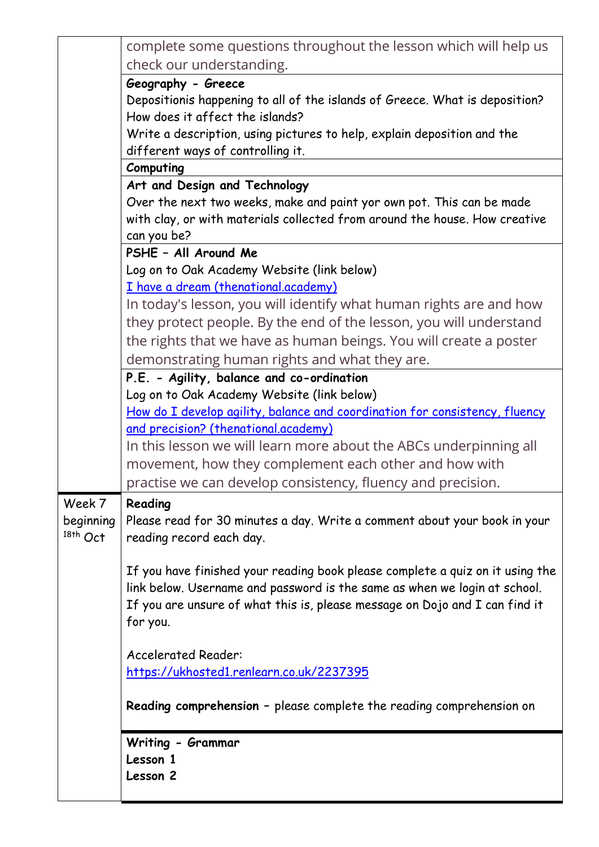|            | complete some questions throughout the lesson which will help us                                                                                         |
|------------|----------------------------------------------------------------------------------------------------------------------------------------------------------|
|            | check our understanding.                                                                                                                                 |
|            | Geography - Greece                                                                                                                                       |
|            | Depositionis happening to all of the islands of Greece. What is deposition?                                                                              |
|            | How does it affect the islands?                                                                                                                          |
|            | Write a description, using pictures to help, explain deposition and the<br>different ways of controlling it.                                             |
|            | Computing                                                                                                                                                |
|            | Art and Design and Technology                                                                                                                            |
|            | Over the next two weeks, make and paint yor own pot. This can be made                                                                                    |
|            | with clay, or with materials collected from around the house. How creative                                                                               |
|            | can you be?                                                                                                                                              |
|            | PSHE - All Around Me                                                                                                                                     |
|            | Log on to Oak Academy Website (link below)                                                                                                               |
|            | I have a dream (thenational.academy)                                                                                                                     |
|            | In today's lesson, you will identify what human rights are and how                                                                                       |
|            | they protect people. By the end of the lesson, you will understand                                                                                       |
|            | the rights that we have as human beings. You will create a poster                                                                                        |
|            | demonstrating human rights and what they are.                                                                                                            |
|            | P.E. - Agility, balance and co-ordination                                                                                                                |
|            | Log on to Oak Academy Website (link below)                                                                                                               |
|            | How do I develop agility, balance and coordination for consistency, fluency                                                                              |
|            | and precision? (thenational.academy)                                                                                                                     |
|            | In this lesson we will learn more about the ABCs underpinning all                                                                                        |
|            | movement, how they complement each other and how with                                                                                                    |
|            | practise we can develop consistency, fluency and precision.                                                                                              |
| Week 7     | Reading                                                                                                                                                  |
| beginning  | Please read for 30 minutes a day. Write a comment about your book in your                                                                                |
| $18th$ Oct | reading record each day.                                                                                                                                 |
|            |                                                                                                                                                          |
|            | If you have finished your reading book please complete a quiz on it using the                                                                            |
|            | link below. Username and password is the same as when we login at school.<br>If you are unsure of what this is, please message on Dojo and I can find it |
|            | for you.                                                                                                                                                 |
|            |                                                                                                                                                          |
|            | <b>Accelerated Reader:</b>                                                                                                                               |
|            | https://ukhosted1.renlearn.co.uk/2237395                                                                                                                 |
|            |                                                                                                                                                          |
|            | <b>Reading comprehension</b> - please complete the reading comprehension on                                                                              |
|            | Writing - Grammar                                                                                                                                        |
|            | Lesson 1                                                                                                                                                 |
|            | Lesson 2                                                                                                                                                 |
|            |                                                                                                                                                          |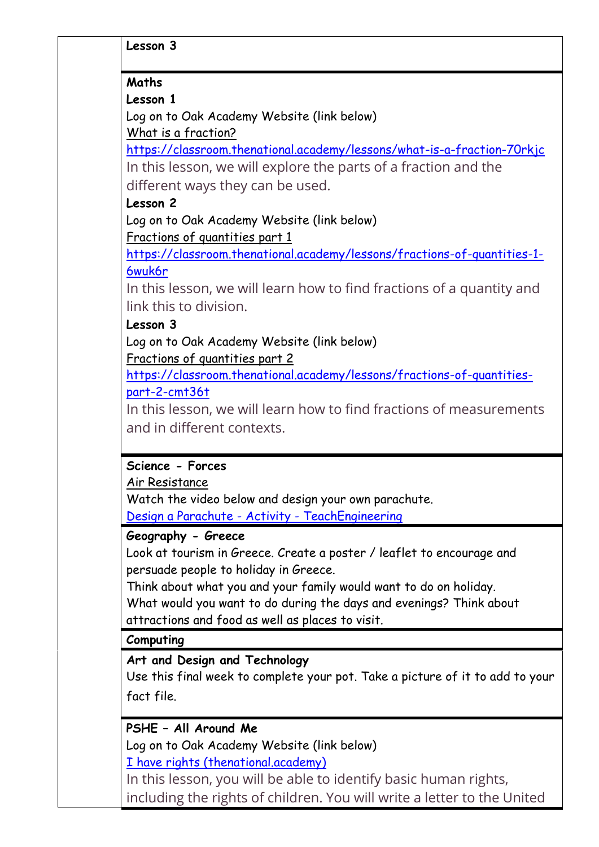**Lesson 3**

#### **Maths**

**Lesson 1**

Log on to Oak Academy Website (link below) What is a fraction?

https://classroom.thenational.academy/lessons/what-is-a-fraction-70rkjc In this lesson, we will explore the parts of a fraction and the

different ways they can be used.

### **Lesson 2**

Log on to Oak Academy Website (link below) Fractions of quantities part 1

https://classroom.thenational.academy/lessons/fractions-of-quantities-1- 6wuk6r

In this lesson, we will learn how to find fractions of a quantity and link this to division.

# **Lesson 3**

Log on to Oak Academy Website (link below)

Fractions of quantities part 2

https://classroom.thenational.academy/lessons/fractions-of-quantitiespart-2-cmt36t

In this lesson, we will learn how to find fractions of measurements and in different contexts.

# **Science - Forces**

#### Air Resistance

Watch the video below and design your own parachute. Design a Parachute - Activity - TeachEngineering

# **Geography - Greece**

Look at tourism in Greece. Create a poster / leaflet to encourage and persuade people to holiday in Greece.

Think about what you and your family would want to do on holiday.

What would you want to do during the days and evenings? Think about attractions and food as well as places to visit.

#### **Computing**

# **Art and Design and Technology**

Use this final week to complete your pot. Take a picture of it to add to your fact file.

# **PSHE – All Around Me**

Log on to Oak Academy Website (link below)

I have rights (thenational.academy)

In this lesson, you will be able to identify basic human rights, including the rights of children. You will write a letter to the United